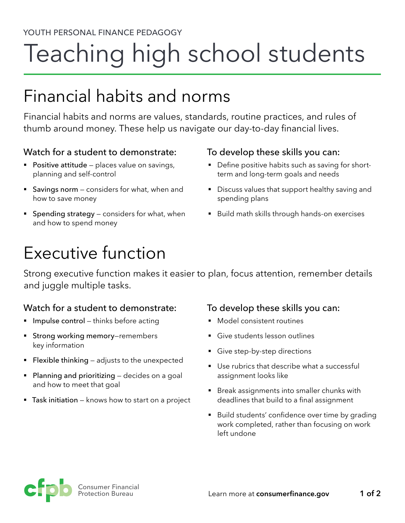# Teaching high school students

# Financial habits and norms

Financial habits and norms are values, standards, routine practices, and rules of thumb around money. These help us navigate our day-to-day financial lives.

## Watch for a student to demonstrate:

- **Positive attitude** places value on savings, planning and self-control
- Savings norm considers for what, when and how to save money
- Spending strategy considers for what, when and how to spend money

### To develop these skills you can:

- Define positive habits such as saving for shortterm and long-term goals and needs
- **•** Discuss values that support healthy saving and spending plans
- Build math skills through hands-on exercises

# Executive function

Strong executive function makes it easier to plan, focus attention, remember details and juggle multiple tasks.

## Watch for a student to demonstrate:

- **Impulse control** thinks before acting
- **Strong working memory-remembers** key information
- **Flexible thinking**  $-$  adjusts to the unexpected
- $\blacksquare$  Planning and prioritizing decides on a goal and how to meet that goal
- $\blacksquare$  Task initiation knows how to start on a project

#### To develop these skills you can:

- Model consistent routines
- § Give students lesson outlines
- Give step-by-step directions
- Use rubrics that describe what a successful assignment looks like
- Break assignments into smaller chunks with deadlines that build to a final assignment
- Build students' confidence over time by grading work completed, rather than focusing on work left undone